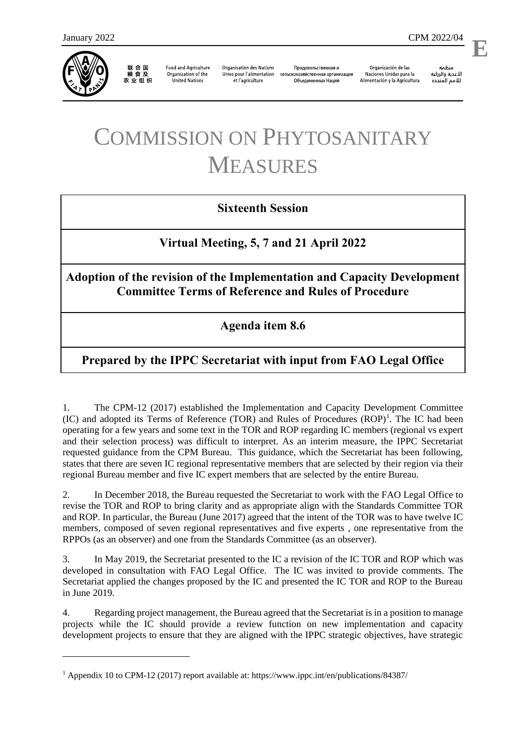

1

联 合 国<br>粮 食 及 农业组织

**Food and Agriculture** Organization of the **United Nations** 

**Organisation des Nations** Unies pour l'alimentation et l'agriculture

Продовольственная и сельскохозяйственная организация Объелиненных Наций

Organización de las Naciones Unidas para la Alimentación y la Agricultura

منظمة الأغذية والزراعة للأمم المتحدة

l,

**E**

# COMMISSION ON PHYTOSANITARY MEASURES

# **Sixteenth Session**

# **Virtual Meeting, 5, 7 and 21 April 2022**

# **Adoption of the revision of the Implementation and Capacity Development Committee Terms of Reference and Rules of Procedure**

# **Agenda item 8.6**

# **Prepared by the IPPC Secretariat with input from FAO Legal Office**

1. The CPM-12 (2017) established the Implementation and Capacity Development Committee  $(IC)$  and adopted its Terms of Reference  $(TOR)$  and Rules of Procedures  $(ROP)^1$ . The IC had been operating for a few years and some text in the TOR and ROP regarding IC members (regional vs expert and their selection process) was difficult to interpret. As an interim measure, the IPPC Secretariat requested guidance from the CPM Bureau. This guidance, which the Secretariat has been following, states that there are seven IC regional representative members that are selected by their region via their regional Bureau member and five IC expert members that are selected by the entire Bureau.

2. In December 2018, the Bureau requested the Secretariat to work with the FAO Legal Office to revise the TOR and ROP to bring clarity and as appropriate align with the Standards Committee TOR and ROP. In particular, the Bureau (June 2017) agreed that the intent of the TOR was to have twelve IC members, composed of seven regional representatives and five experts , one representative from the RPPOs (as an observer) and one from the Standards Committee (as an observer).

3. In May 2019, the Secretariat presented to the IC a revision of the IC TOR and ROP which was developed in consultation with FAO Legal Office. The IC was invited to provide comments. The Secretariat applied the changes proposed by the IC and presented the IC TOR and ROP to the Bureau in June 2019.

4. Regarding project management, the Bureau agreed that the Secretariat is in a position to manage projects while the IC should provide a review function on new implementation and capacity development projects to ensure that they are aligned with the IPPC strategic objectives, have strategic

<sup>1</sup> Appendix 10 to CPM-12 (2017) report available at:<https://www.ippc.int/en/publications/84387/>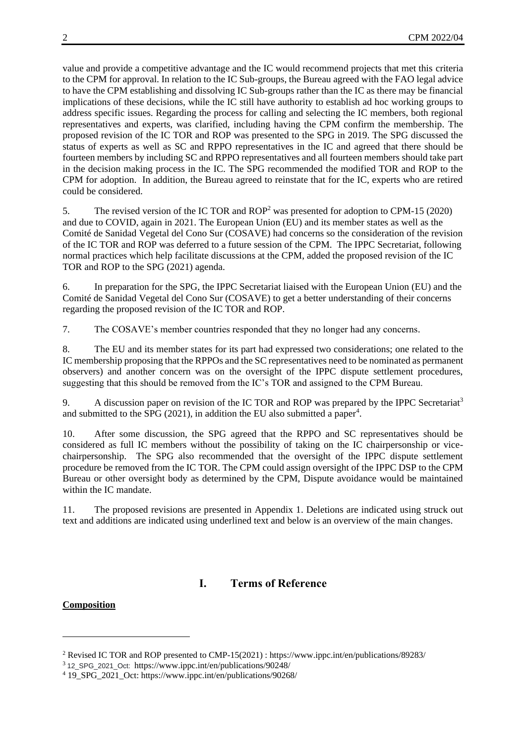value and provide a competitive advantage and the IC would recommend projects that met this criteria to the CPM for approval. In relation to the IC Sub-groups, the Bureau agreed with the FAO legal advice to have the CPM establishing and dissolving IC Sub-groups rather than the IC as there may be financial implications of these decisions, while the IC still have authority to establish ad hoc working groups to address specific issues. Regarding the process for calling and selecting the IC members, both regional representatives and experts, was clarified, including having the CPM confirm the membership. The proposed revision of the IC TOR and ROP was presented to the SPG in 2019. The SPG discussed the status of experts as well as SC and RPPO representatives in the IC and agreed that there should be fourteen members by including SC and RPPO representatives and all fourteen members should take part in the decision making process in the IC. The SPG recommended the modified TOR and ROP to the CPM for adoption. In addition, the Bureau agreed to reinstate that for the IC, experts who are retired could be considered.

5. The revised version of the IC TOR and ROP<sup>2</sup> was presented for adoption to CPM-15 (2020) and due to COVID, again in 2021. The European Union (EU) and its member states as well as the Comité de Sanidad Vegetal del Cono Sur (COSAVE) had concerns so the consideration of the revision of the IC TOR and ROP was deferred to a future session of the CPM. The IPPC Secretariat, following normal practices which help facilitate discussions at the CPM, added the proposed revision of the IC TOR and ROP to the SPG (2021) agenda.

6. In preparation for the SPG, the IPPC Secretariat liaised with the European Union (EU) and the Comité de Sanidad Vegetal del Cono Sur (COSAVE) to get a better understanding of their concerns regarding the proposed revision of the IC TOR and ROP.

7. The COSAVE's member countries responded that they no longer had any concerns.

8. The EU and its member states for its part had expressed two considerations; one related to the IC membership proposing that the RPPOs and the SC representatives need to be nominated as permanent observers) and another concern was on the oversight of the IPPC dispute settlement procedures, suggesting that this should be removed from the IC's TOR and assigned to the CPM Bureau.

9. A discussion paper on revision of the IC TOR and ROP was prepared by the IPPC Secretariat<sup>3</sup> and submitted to the SPG  $(2021)$ , in addition the EU also submitted a paper<sup>4</sup>.

10. After some discussion, the SPG agreed that the RPPO and SC representatives should be considered as full IC members without the possibility of taking on the IC chairpersonship or vicechairpersonship. The SPG also recommended that the oversight of the IPPC dispute settlement procedure be removed from the IC TOR. The CPM could assign oversight of the IPPC DSP to the CPM Bureau or other oversight body as determined by the CPM, Dispute avoidance would be maintained within the IC mandate.

11. The proposed revisions are presented in Appendix 1. Deletions are indicated using struck out text and additions are indicated using underlined text and below is an overview of the main changes.

# **I. Terms of Reference**

# **Composition**

1

<sup>2</sup> Revised IC TOR and ROP presented to CMP-15(2021) : <https://www.ippc.int/en/publications/89283/>

<sup>3</sup> 12\_SPG\_2021\_Oct: <https://www.ippc.int/en/publications/90248/>

<sup>4</sup> 19\_SPG\_2021\_Oct: https://www.ippc.int/en/publications/90268/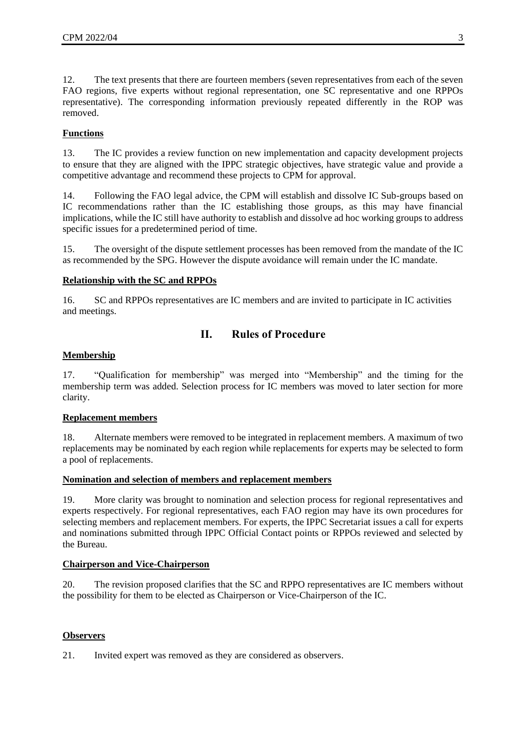12. The text presents that there are fourteen members (seven representatives from each of the seven FAO regions, five experts without regional representation, one SC representative and one RPPOs representative). The corresponding information previously repeated differently in the ROP was removed.

# **Functions**

13. The IC provides a review function on new implementation and capacity development projects to ensure that they are aligned with the IPPC strategic objectives, have strategic value and provide a competitive advantage and recommend these projects to CPM for approval.

14. Following the FAO legal advice, the CPM will establish and dissolve IC Sub-groups based on IC recommendations rather than the IC establishing those groups, as this may have financial implications, while the IC still have authority to establish and dissolve ad hoc working groups to address specific issues for a predetermined period of time.

15. The oversight of the dispute settlement processes has been removed from the mandate of the IC as recommended by the SPG. However the dispute avoidance will remain under the IC mandate.

# **Relationship with the SC and RPPOs**

16. SC and RPPOs representatives are IC members and are invited to participate in IC activities and meetings.

# **II. Rules of Procedure**

# **Membership**

17. "Qualification for membership" was merged into "Membership" and the timing for the membership term was added. Selection process for IC members was moved to later section for more clarity.

# **Replacement members**

18. Alternate members were removed to be integrated in replacement members. A maximum of two replacements may be nominated by each region while replacements for experts may be selected to form a pool of replacements.

## **Nomination and selection of members and replacement members**

19. More clarity was brought to nomination and selection process for regional representatives and experts respectively. For regional representatives, each FAO region may have its own procedures for selecting members and replacement members. For experts, the IPPC Secretariat issues a call for experts and nominations submitted through IPPC Official Contact points or RPPOs reviewed and selected by the Bureau.

## **Chairperson and Vice-Chairperson**

20. The revision proposed clarifies that the SC and RPPO representatives are IC members without the possibility for them to be elected as Chairperson or Vice-Chairperson of the IC.

# **Observers**

21. Invited expert was removed as they are considered as observers.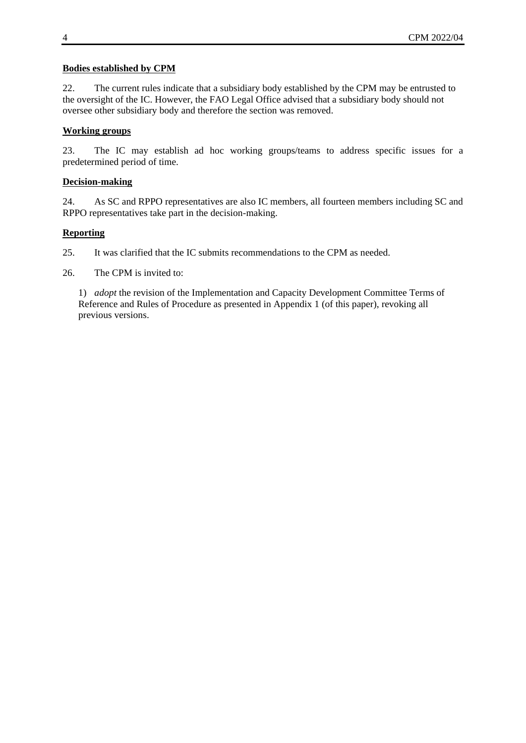# **Bodies established by CPM**

22. The current rules indicate that a subsidiary body established by the CPM may be entrusted to the oversight of the IC. However, the FAO Legal Office advised that a subsidiary body should not oversee other subsidiary body and therefore the section was removed.

# **Working groups**

23. The IC may establish ad hoc working groups/teams to address specific issues for a predetermined period of time.

# **Decision-making**

24. As SC and RPPO representatives are also IC members, all fourteen members including SC and RPPO representatives take part in the decision-making.

## **Reporting**

25. It was clarified that the IC submits recommendations to the CPM as needed.

26. The CPM is invited to:

1) *adopt* the revision of the Implementation and Capacity Development Committee Terms of Reference and Rules of Procedure as presented in Appendix 1 (of this paper), revoking all previous versions.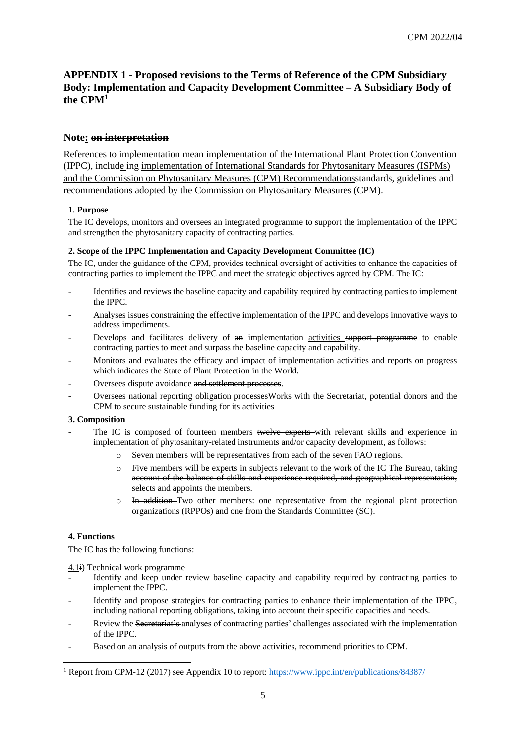# **APPENDIX 1 - Proposed revisions to the Terms of Reference of the CPM Subsidiary Body: Implementation and Capacity Development Committee – A Subsidiary Body of the CPM<sup>1</sup>**

# **Note: on interpretation**

References to implementation mean implementation of the International Plant Protection Convention (IPPC), include ing implementation of International Standards for Phytosanitary Measures (ISPMs) and the Commission on Phytosanitary Measures (CPM) Recommendationsstandards, guidelines and recommendations adopted by the Commission on Phytosanitary Measures (CPM).

#### **1. Purpose**

The IC develops, monitors and oversees an integrated programme to support the implementation of the IPPC and strengthen the phytosanitary capacity of contracting parties.

#### **2. Scope of the IPPC Implementation and Capacity Development Committee (IC)**

The IC, under the guidance of the CPM, provides technical oversight of activities to enhance the capacities of contracting parties to implement the IPPC and meet the strategic objectives agreed by CPM. The IC:

- Identifies and reviews the baseline capacity and capability required by contracting parties to implement the IPPC.
- Analyses issues constraining the effective implementation of the IPPC and develops innovative ways to address impediments.
- Develops and facilitates delivery of  $\theta$  implementation activities support programme to enable contracting parties to meet and surpass the baseline capacity and capability.
- Monitors and evaluates the efficacy and impact of implementation activities and reports on progress which indicates the State of Plant Protection in the World.
- Oversees dispute avoidance and settlement processes.
- Oversees national reporting obligation processesWorks with the Secretariat, potential donors and the CPM to secure sustainable funding for its activities

#### **3. Composition**

- The IC is composed of fourteen members twelve experts with relevant skills and experience in implementation of phytosanitary-related instruments and/or capacity development, as follows:
	- o Seven members will be representatives from each of the seven FAO regions.
	- o Five members will be experts in subjects relevant to the work of the IC The Bureau, taking account of the balance of skills and experience required, and geographical representation, selects and appoints the members.
	- $\circ$  In addition Two other members: one representative from the regional plant protection organizations (RPPOs) and one from the Standards Committee (SC).

#### **4. Functions**

1

The IC has the following functions:

4.1i) Technical work programme

- Identify and keep under review baseline capacity and capability required by contracting parties to implement the IPPC.
- Identify and propose strategies for contracting parties to enhance their implementation of the IPPC, including national reporting obligations, taking into account their specific capacities and needs.
- Review the Secretariat's analyses of contracting parties' challenges associated with the implementation of the IPPC.
- Based on an analysis of outputs from the above activities, recommend priorities to CPM.

<sup>1</sup> Report from CPM-12 (2017) see Appendix 10 to report[: https://www.ippc.int/en/publications/84387/](https://www.ippc.int/en/publications/84387/)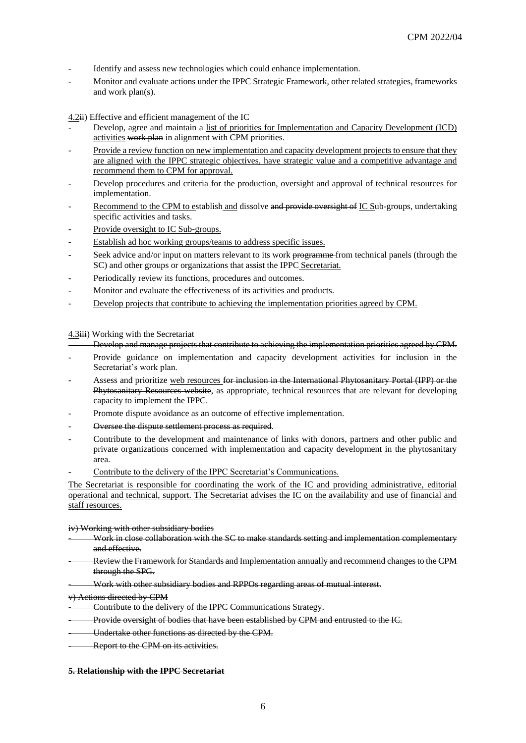- Identify and assess new technologies which could enhance implementation.
- Monitor and evaluate actions under the IPPC Strategic Framework, other related strategies, frameworks and work plan(s).

 $4.2\text{ii}$ ) Effective and efficient management of the IC

- Develop, agree and maintain a list of priorities for Implementation and Capacity Development (ICD) activities work plan in alignment with CPM priorities.
- Provide a review function on new implementation and capacity development projects to ensure that they are aligned with the IPPC strategic objectives, have strategic value and a competitive advantage and recommend them to CPM for approval.
- Develop procedures and criteria for the production, oversight and approval of technical resources for implementation.
- Recommend to the CPM to establish and dissolve and provide oversight of IC Sub-groups, undertaking specific activities and tasks.
- Provide oversight to IC Sub-groups.
- Establish ad hoc working groups/teams to address specific issues.
- Seek advice and/or input on matters relevant to its work programme from technical panels (through the SC) and other groups or organizations that assist the IPPC Secretariat.
- Periodically review its functions, procedures and outcomes.
- Monitor and evaluate the effectiveness of its activities and products.
- Develop projects that contribute to achieving the implementation priorities agreed by CPM.

4.3iii) Working with the Secretariat

- Develop and manage projects that contribute to achieving the implementation priorities agreed by CPM.

- Provide guidance on implementation and capacity development activities for inclusion in the Secretariat's work plan.
- Assess and prioritize web resources for inclusion in the International Phytosanitary Portal (IPP) or the Phytosanitary Resources website, as appropriate, technical resources that are relevant for developing capacity to implement the IPPC.
- Promote dispute avoidance as an outcome of effective implementation.
- Oversee the dispute settlement process as required.
- Contribute to the development and maintenance of links with donors, partners and other public and private organizations concerned with implementation and capacity development in the phytosanitary area.
- Contribute to the delivery of the IPPC Secretariat's Communications.

The Secretariat is responsible for coordinating the work of the IC and providing administrative, editorial operational and technical, support. The Secretariat advises the IC on the availability and use of financial and staff resources.

#### iv) Working with other subsidiary bodies

- Work in close collaboration with the SC to make standards setting and implementation complementary and effective.
- Review the Framework for Standards and Implementation annually and recommend changes to the CPM through the SPG.
- Work with other subsidiary bodies and RPPOs regarding areas of mutual interest.

#### v) Actions directed by CPM

- Contribute to the delivery of the IPPC Communications Strategy.
- Provide oversight of bodies that have been established by CPM and entrusted to the IC.
- Undertake other functions as directed by the CPM.
- Report to the CPM on its activities.

#### **5. Relationship with the IPPC Secretariat**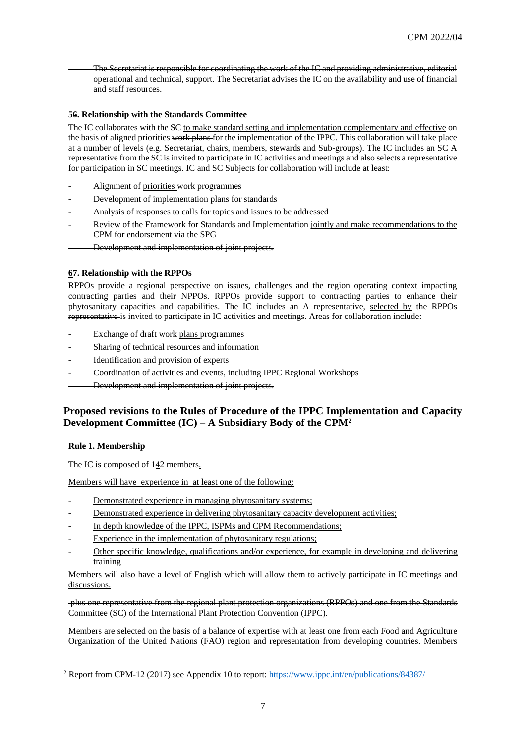- The Secretariat is responsible for coordinating the work of the IC and providing administrative, editorial operational and technical, support. The Secretariat advises the IC on the availability and use of financial and staff resources.

### **56. Relationship with the Standards Committee**

The IC collaborates with the SC to make standard setting and implementation complementary and effective on the basis of aligned priorities work plans for the implementation of the IPPC. This collaboration will take place at a number of levels (e.g. Secretariat, chairs, members, stewards and Sub-groups). The IC includes an SC A representative from the SC is invited to participate in IC activities and meetings and also selects a representative for participation in SC meetings. IC and SC Subjects for collaboration will include at least:

- Alignment of priorities work programmes
- Development of implementation plans for standards
- Analysis of responses to calls for topics and issues to be addressed
- Review of the Framework for Standards and Implementation jointly and make recommendations to the CPM for endorsement via the SPG
- Development and implementation of joint projects.

#### **67. Relationship with the RPPOs**

RPPOs provide a regional perspective on issues, challenges and the region operating context impacting contracting parties and their NPPOs. RPPOs provide support to contracting parties to enhance their phytosanitary capacities and capabilities. The IC includes an A representative, selected by the RPPOs representative is invited to participate in IC activities and meetings. Areas for collaboration include:

- Exchange of draft work plans programmes
- Sharing of technical resources and information
- Identification and provision of experts
- Coordination of activities and events, including IPPC Regional Workshops
- Development and implementation of joint projects.

# **Proposed revisions to the Rules of Procedure of the IPPC Implementation and Capacity Development Committee (IC) – A Subsidiary Body of the CPM<sup>2</sup>**

#### **Rule 1. Membership**

1

The IC is composed of 142 members.

Members will have experience in at least one of the following:

- Demonstrated experience in managing phytosanitary systems;
- Demonstrated experience in delivering phytosanitary capacity development activities;
- In depth knowledge of the IPPC, ISPMs and CPM Recommendations;
- Experience in the implementation of phytosanitary regulations;
- Other specific knowledge, qualifications and/or experience, for example in developing and delivering training

Members will also have a level of English which will allow them to actively participate in IC meetings and discussions.

plus one representative from the regional plant protection organizations (RPPOs) and one from the Standards Committee (SC) of the International Plant Protection Convention (IPPC).

Members are selected on the basis of a balance of expertise with at least one from each Food and Agriculture Organization of the United Nations (FAO) region and representation from developing countries. Members

<sup>&</sup>lt;sup>2</sup> Report from CPM-12 (2017) see Appendix 10 to report[: https://www.ippc.int/en/publications/84387/](https://www.ippc.int/en/publications/84387/)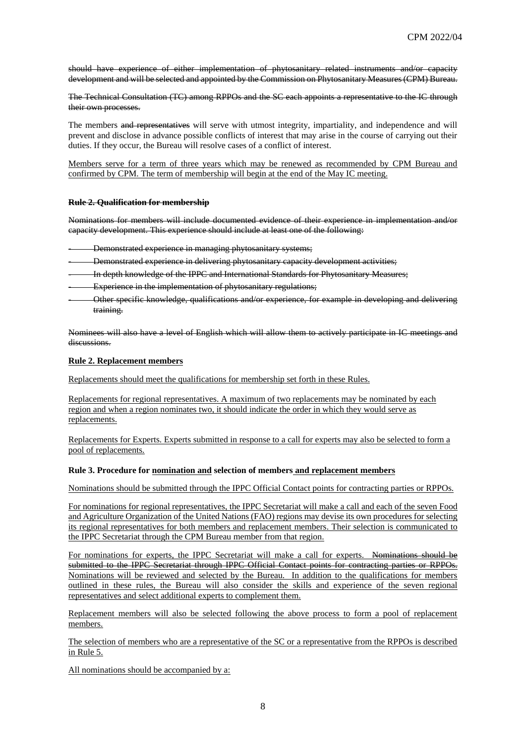should have experience of either implementation of phytosanitary related instruments and/or capacity development and will be selected and appointed by the Commission on Phytosanitary Measures (CPM) Bureau.

The Technical Consultation (TC) among RPPOs and the SC each appoints a representative to the IC through their own processes.

The members and representatives will serve with utmost integrity, impartiality, and independence and will prevent and disclose in advance possible conflicts of interest that may arise in the course of carrying out their duties. If they occur, the Bureau will resolve cases of a conflict of interest.

Members serve for a term of three years which may be renewed as recommended by CPM Bureau and confirmed by CPM. The term of membership will begin at the end of the May IC meeting.

#### **Rule 2. Qualification for membership**

Nominations for members will include documented evidence of their experience in implementation and/or capacity development. This experience should include at least one of the following:

- Demonstrated experience in managing phytosanitary systems;
- Demonstrated experience in delivering phytosanitary capacity development activities;
- In depth knowledge of the IPPC and International Standards for Phytosanitary Measures;
- Experience in the implementation of phytosanitary regulations;
- Other specific knowledge, qualifications and/or experience, for example in developing and delivering training.

Nominees will also have a level of English which will allow them to actively participate in IC meetings and discussions.

#### **Rule 2. Replacement members**

Replacements should meet the qualifications for membership set forth in these Rules.

Replacements for regional representatives. A maximum of two replacements may be nominated by each region and when a region nominates two, it should indicate the order in which they would serve as replacements.

Replacements for Experts. Experts submitted in response to a call for experts may also be selected to form a pool of replacements.

#### **Rule 3. Procedure for nomination and selection of members and replacement members**

Nominations should be submitted through the IPPC Official Contact points for contracting parties or RPPOs.

For nominations for regional representatives, the IPPC Secretariat will make a call and each of the seven Food and Agriculture Organization of the United Nations (FAO) regions may devise its own procedures for selecting its regional representatives for both members and replacement members. Their selection is communicated to the IPPC Secretariat through the CPM Bureau member from that region.

For nominations for experts, the IPPC Secretariat will make a call for experts. Nominations should be submitted to the IPPC Secretariat through IPPC Official Contact points for contracting parties or RPPOs. Nominations will be reviewed and selected by the Bureau. In addition to the qualifications for members outlined in these rules, the Bureau will also consider the skills and experience of the seven regional representatives and select additional experts to complement them.

Replacement members will also be selected following the above process to form a pool of replacement members.

The selection of members who are a representative of the SC or a representative from the RPPOs is described in Rule 5.

All nominations should be accompanied by a: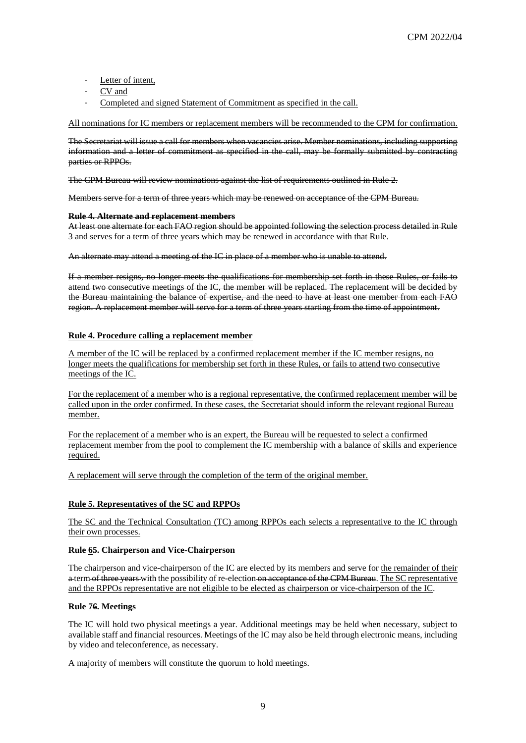- Letter of intent,
- CV and
- Completed and signed Statement of Commitment as specified in the call.

All nominations for IC members or replacement members will be recommended to the CPM for confirmation.

The Secretariat will issue a call for members when vacancies arise. Member nominations, including supporting information and a letter of commitment as specified in the call, may be formally submitted by contracting parties or RPPOs.

The CPM Bureau will review nominations against the list of requirements outlined in Rule 2.

Members serve for a term of three years which may be renewed on acceptance of the CPM Bureau.

#### **Rule 4. Alternate and replacement members**

At least one alternate for each FAO region should be appointed following the selection process detailed in Rule 3 and serves for a term of three years which may be renewed in accordance with that Rule.

An alternate may attend a meeting of the IC in place of a member who is unable to attend.

If a member resigns, no longer meets the qualifications for membership set forth in these Rules, or fails to attend two consecutive meetings of the IC, the member will be replaced. The replacement will be decided by the Bureau maintaining the balance of expertise, and the need to have at least one member from each FAO region. A replacement member will serve for a term of three years starting from the time of appointment.

#### **Rule 4. Procedure calling a replacement member**

A member of the IC will be replaced by a confirmed replacement member if the IC member resigns, no longer meets the qualifications for membership set forth in these Rules, or fails to attend two consecutive meetings of the IC.

For the replacement of a member who is a regional representative, the confirmed replacement member will be called upon in the order confirmed. In these cases, the Secretariat should inform the relevant regional Bureau member.

For the replacement of a member who is an expert, the Bureau will be requested to select a confirmed replacement member from the pool to complement the IC membership with a balance of skills and experience required.

A replacement will serve through the completion of the term of the original member.

#### **Rule 5. Representatives of the SC and RPPOs**

The SC and the Technical Consultation (TC) among RPPOs each selects a representative to the IC through their own processes.

#### **Rule 65. Chairperson and Vice-Chairperson**

The chairperson and vice-chairperson of the IC are elected by its members and serve for the remainder of their a term of three years with the possibility of re-election on acceptance of the CPM Bureau. The SC representative and the RPPOs representative are not eligible to be elected as chairperson or vice-chairperson of the IC.

#### **Rule 76. Meetings**

The IC will hold two physical meetings a year. Additional meetings may be held when necessary, subject to available staff and financial resources. Meetings of the IC may also be held through electronic means, including by video and teleconference, as necessary.

A majority of members will constitute the quorum to hold meetings.